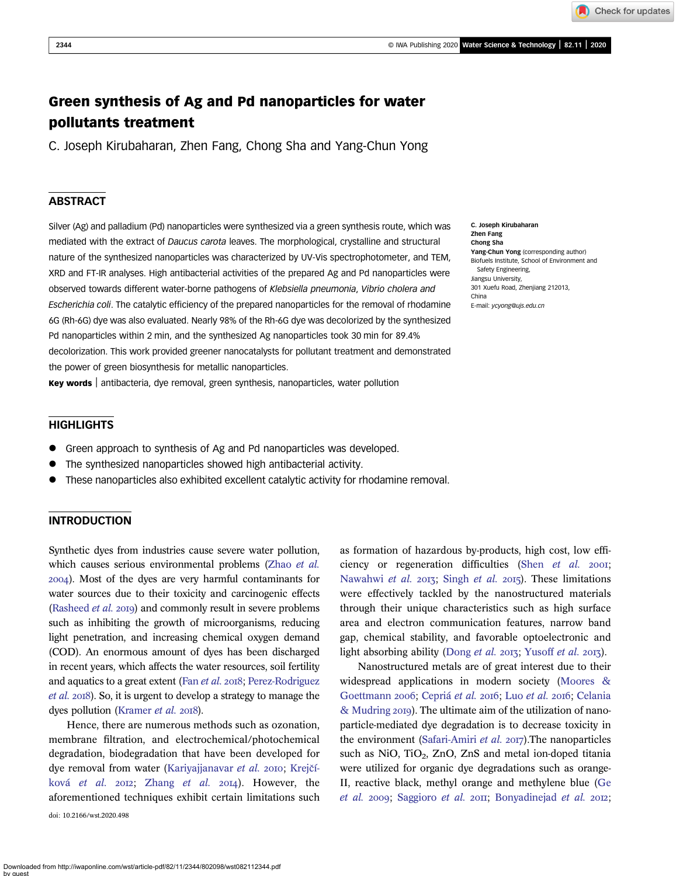# Green synthesis of Ag and Pd nanoparticles for water pollutants treatment

C. Joseph Kirubaharan, Zhen Fang, Chong Sha and Yang-Chun Yong

# **ABSTRACT**

Silver (Ag) and palladium (Pd) nanoparticles were synthesized via a green synthesis route, which was mediated with the extract of Daucus carota leaves. The morphological, crystalline and structural nature of the synthesized nanoparticles was characterized by UV-Vis spectrophotometer, and TEM, XRD and FT-IR analyses. High antibacterial activities of the prepared Ag and Pd nanoparticles were observed towards different water-borne pathogens of Klebsiella pneumonia, Vibrio cholera and Escherichia coli. The catalytic efficiency of the prepared nanoparticles for the removal of rhodamine 6G (Rh-6G) dye was also evaluated. Nearly 98% of the Rh-6G dye was decolorized by the synthesized Pd nanoparticles within 2 min, and the synthesized Ag nanoparticles took 30 min for 89.4% decolorization. This work provided greener nanocatalysts for pollutant treatment and demonstrated the power of green biosynthesis for metallic nanoparticles.

Key words | antibacteria, dye removal, green synthesis, nanoparticles, water pollution

**HIGHLIGHTS** 

- Green approach to synthesis of Ag and Pd nanoparticles was developed.
- The synthesized nanoparticles showed high antibacterial activity.
- These nanoparticles also exhibited excellent catalytic activity for rhodamine removal.

# INTRODUCTION

Synthetic dyes from industries cause severe water pollution, which causes serious environmental problems [\(Zhao](#page-8-0) et al. ). Most of the dyes are very harmful contaminants for water sources due to their toxicity and carcinogenic effects [\(Rasheed](#page-7-0) *et al.* 2019) and commonly result in severe problems such as inhibiting the growth of microorganisms, reducing light penetration, and increasing chemical oxygen demand (COD). An enormous amount of dyes has been discharged in recent years, which affects the water resources, soil fertility and aquatics to a great extent (Fan [et al.](#page-6-0) 2018; [Perez-Rodriguez](#page-7-0) [et al.](#page-7-0) 2018). So, it is urgent to develop a strategy to manage the dyes pollution [\(Kramer](#page-7-0) *et al.* 2018).

Hence, there are numerous methods such as ozonation, membrane filtration, and electrochemical/photochemical degradation, biodegradation that have been developed for dye removal from water [\(Kariyajjanavar](#page-6-0) et al. 2010; Krejčíková [et al.](#page-7-0)  $20I2$ ; [Zhang](#page-8-0) et al.  $20I4$ ). However, the aforementioned techniques exhibit certain limitations such doi: 10.2166/wst.2020.498

as formation of hazardous by-products, high cost, low efficiency or regeneration difficulties (Shen  $et$   $al.$   $200I$ ; [Nawahwi](#page-7-0) et al. 2013; [Singh](#page-8-0) et al. 2015). These limitations were effectively tackled by the nanostructured materials through their unique characteristics such as high surface area and electron communication features, narrow band gap, chemical stability, and favorable optoelectronic and light absorbing ability ([Dong](#page-6-0) et al. 2013; [Yusoff](#page-8-0) et al. 2013).

Nanostructured metals are of great interest due to their widespread applications in modern society [\(Moores &](#page-7-0) [Goettmann](#page-7-0) 2006; [Cepriá](#page-6-0) [et al.](#page-7-0) 2016; Luo et al. 2016; [Celania](#page-6-0) [& Mudring](#page-6-0) 2019). The ultimate aim of the utilization of nanoparticle-mediated dye degradation is to decrease toxicity in the environment ([Safari-Amiri](#page-7-0) et al.  $2017$ ). The nanoparticles such as NiO, TiO<sub>2</sub>, ZnO, ZnS and metal ion-doped titania were utilized for organic dye degradations such as orange-II, reactive black, methyl orange and methylene blue [\(Ge](#page-6-0) [et al.](#page-6-0) 2009; [Saggioro](#page-7-0) et al. 2011; [Bonyadinejad](#page-6-0) et al. 2012;

C. Joseph Kirubaharan Zhen Fang Chong Sha Yang-Chun Yong (corresponding author) Biofuels Institute, School of Environment and Safety Engineering, Jiangsu University, 301 Xuefu Road, Zhenjiang 212013, China E-mail: [ycyong@ujs.edu.cn](mailto:ycyong@ujs.edu.cn)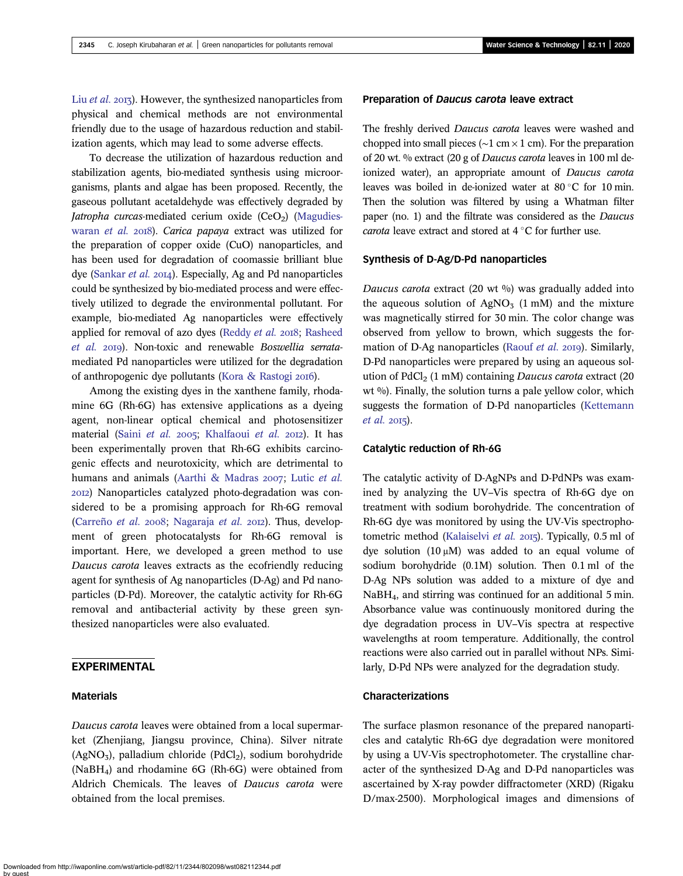Liu [et al.](#page-7-0) 2013). However, the synthesized nanoparticles from physical and chemical methods are not environmental friendly due to the usage of hazardous reduction and stabilization agents, which may lead to some adverse effects.

To decrease the utilization of hazardous reduction and stabilization agents, bio-mediated synthesis using microorganisms, plants and algae has been proposed. Recently, the gaseous pollutant acetaldehyde was effectively degraded by Jatropha curcas-mediated cerium oxide  $(CeO<sub>2</sub>)$  [\(Magudies](#page-7-0)[waran](#page-7-0) et al. 2018). Carica papaya extract was utilized for the preparation of copper oxide (CuO) nanoparticles, and has been used for degradation of coomassie brilliant blue dye ([Sankar](#page-7-0) et al. 2014). Especially, Ag and Pd nanoparticles could be synthesized by bio-mediated process and were effectively utilized to degrade the environmental pollutant. For example, bio-mediated Ag nanoparticles were effectively applied for removal of azo dyes ([Reddy](#page-7-0) et al. 2018; [Rasheed](#page-7-0) [et al.](#page-7-0) 2019). Non-toxic and renewable Boswellia serratamediated Pd nanoparticles were utilized for the degradation of anthropogenic dye pollutants ([Kora & Rastogi](#page-7-0) 2016).

Among the existing dyes in the xanthene family, rhodamine 6G (Rh-6G) has extensive applications as a dyeing agent, non-linear optical chemical and photosensitizer material (Saini [et al.](#page-7-0) 2005; [Khalfaoui](#page-6-0) et al. 2012). It has been experimentally proven that Rh-6G exhibits carcinogenic effects and neurotoxicity, which are detrimental to humans and animals [\(Aarthi & Madras](#page-6-0) 2007; Lutic [et al.](#page-7-0) ) Nanoparticles catalyzed photo-degradation was considered to be a promising approach for Rh-6G removal [\(Carreño](#page-6-0) et al. 2008; [Nagaraja](#page-7-0) et al. 2012). Thus, development of green photocatalysts for Rh-6G removal is important. Here, we developed a green method to use Daucus carota leaves extracts as the ecofriendly reducing agent for synthesis of Ag nanoparticles (D-Ag) and Pd nanoparticles (D-Pd). Moreover, the catalytic activity for Rh-6G removal and antibacterial activity by these green synthesized nanoparticles were also evaluated.

### EXPERIMENTAL

### Materials

Daucus carota leaves were obtained from a local supermarket (Zhenjiang, Jiangsu province, China). Silver nitrate  $(AgNO<sub>3</sub>)$ , palladium chloride  $(PdCl<sub>2</sub>)$ , sodium borohydride (NaBH4) and rhodamine 6G (Rh-6G) were obtained from Aldrich Chemicals. The leaves of Daucus carota were obtained from the local premises.

#### Preparation of Daucus carota leave extract

The freshly derived *Daucus carota* leaves were washed and chopped into small pieces ( $\sim$ 1 cm  $\times$  1 cm). For the preparation of 20 wt. % extract (20 g of Daucus carota leaves in 100 ml deionized water), an appropriate amount of Daucus carota leaves was boiled in de-ionized water at  $80^{\circ}$ C for 10 min. Then the solution was filtered by using a Whatman filter paper (no. 1) and the filtrate was considered as the Daucus carota leave extract and stored at  $4^{\circ}$ C for further use.

#### Synthesis of D-Ag/D-Pd nanoparticles

Daucus carota extract (20 wt  $\%$ ) was gradually added into the aqueous solution of  $AgNO<sub>3</sub>$  (1 mM) and the mixture was magnetically stirred for 30 min. The color change was observed from yellow to brown, which suggests the for-mation of D-Ag nanoparticles ([Raouf](#page-7-0) *et al.* 2019). Similarly, D-Pd nanoparticles were prepared by using an aqueous solution of  $PdCl<sub>2</sub>$  (1 mM) containing *Daucus carota* extract (20 wt  $\%$ ). Finally, the solution turns a pale yellow color, which suggests the formation of D-Pd nanoparticles [\(Kettemann](#page-6-0)  $et$  al. 2015).

### Catalytic reduction of Rh-6G

The catalytic activity of D-AgNPs and D-PdNPs was examined by analyzing the UV–Vis spectra of Rh-6G dye on treatment with sodium borohydride. The concentration of Rh-6G dye was monitored by using the UV-Vis spectropho-tometric method [\(Kalaiselvi](#page-6-0) et al. 2015). Typically, 0.5 ml of dye solution  $(10 \mu M)$  was added to an equal volume of sodium borohydride (0.1M) solution. Then 0.1 ml of the D-Ag NPs solution was added to a mixture of dye and NaBH4, and stirring was continued for an additional 5 min. Absorbance value was continuously monitored during the dye degradation process in UV–Vis spectra at respective wavelengths at room temperature. Additionally, the control reactions were also carried out in parallel without NPs. Similarly, D-Pd NPs were analyzed for the degradation study.

### Characterizations

The surface plasmon resonance of the prepared nanoparticles and catalytic Rh-6G dye degradation were monitored by using a UV-Vis spectrophotometer. The crystalline character of the synthesized D-Ag and D-Pd nanoparticles was ascertained by X-ray powder diffractometer (XRD) (Rigaku D/max-2500). Morphological images and dimensions of

Downloaded from http://iwaponline.com/wst/article-pdf/82/11/2344/802098/wst082112344.pdf by guest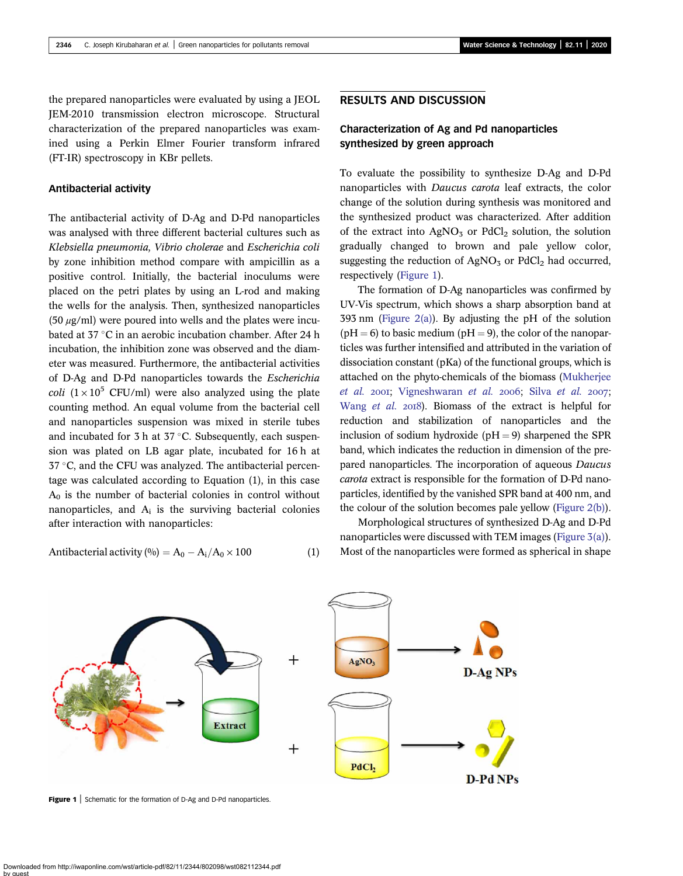the prepared nanoparticles were evaluated by using a JEOL JEM-2010 transmission electron microscope. Structural characterization of the prepared nanoparticles was examined using a Perkin Elmer Fourier transform infrared (FT-IR) spectroscopy in KBr pellets.

#### Antibacterial activity

The antibacterial activity of D-Ag and D-Pd nanoparticles was analysed with three different bacterial cultures such as Klebsiella pneumonia, Vibrio cholerae and Escherichia coli by zone inhibition method compare with ampicillin as a positive control. Initially, the bacterial inoculums were placed on the petri plates by using an L-rod and making the wells for the analysis. Then, synthesized nanoparticles  $(50 \mu g/ml)$  were poured into wells and the plates were incubated at  $37 \degree$ C in an aerobic incubation chamber. After 24 h incubation, the inhibition zone was observed and the diameter was measured. Furthermore, the antibacterial activities of D-Ag and D-Pd nanoparticles towards the Escherichia *coli*  $(1 \times 10^5 \text{ CFU/ml})$  were also analyzed using the plate counting method. An equal volume from the bacterial cell and nanoparticles suspension was mixed in sterile tubes and incubated for 3 h at  $37$  °C. Subsequently, each suspension was plated on LB agar plate, incubated for 16 h at  $37 \degree C$ , and the CFU was analyzed. The antibacterial percentage was calculated according to Equation (1), in this case  $A_0$  is the number of bacterial colonies in control without nanoparticles, and  $A_i$  is the surviving bacterial colonies after interaction with nanoparticles:

Antibacterial activity 
$$
(\%)
$$
 = A<sub>0</sub> - A<sub>i</sub>/A<sub>0</sub> × 100 (1)

#### RESULTS AND DISCUSSION

# Characterization of Ag and Pd nanoparticles synthesized by green approach

To evaluate the possibility to synthesize D-Ag and D-Pd nanoparticles with Daucus carota leaf extracts, the color change of the solution during synthesis was monitored and the synthesized product was characterized. After addition of the extract into  $AgNO<sub>3</sub>$  or  $PdCl<sub>2</sub>$  solution, the solution gradually changed to brown and pale yellow color, suggesting the reduction of  $AgNO<sub>3</sub>$  or  $PdCl<sub>2</sub>$  had occurred, respectively (Figure 1).

The formation of D-Ag nanoparticles was confirmed by UV-Vis spectrum, which shows a sharp absorption band at 393 nm ([Figure 2\(a\)\)](#page-3-0). By adjusting the pH of the solution  $(pH = 6)$  to basic medium ( $pH = 9$ ), the color of the nanoparticles was further intensified and attributed in the variation of dissociation constant (pKa) of the functional groups, which is attached on the phyto-chemicals of the biomass [\(Mukherjee](#page-7-0) [et al.](#page-7-0) 2001; [Vigneshwaran](#page-8-0) et al. 2006; Silva et al. 2007; [Wang](#page-8-0) et al. 2018). Biomass of the extract is helpful for reduction and stabilization of nanoparticles and the inclusion of sodium hydroxide ( $pH = 9$ ) sharpened the SPR band, which indicates the reduction in dimension of the prepared nanoparticles. The incorporation of aqueous Daucus carota extract is responsible for the formation of D-Pd nanoparticles, identified by the vanished SPR band at 400 nm, and the colour of the solution becomes pale yellow [\(Figure 2\(b\)](#page-3-0)).

Morphological structures of synthesized D-Ag and D-Pd nanoparticles were discussed with TEM images ([Figure 3\(a\)](#page-3-0)). Most of the nanoparticles were formed as spherical in shape



Figure 1 | Schematic for the formation of D-Ag and D-Pd nanoparticles.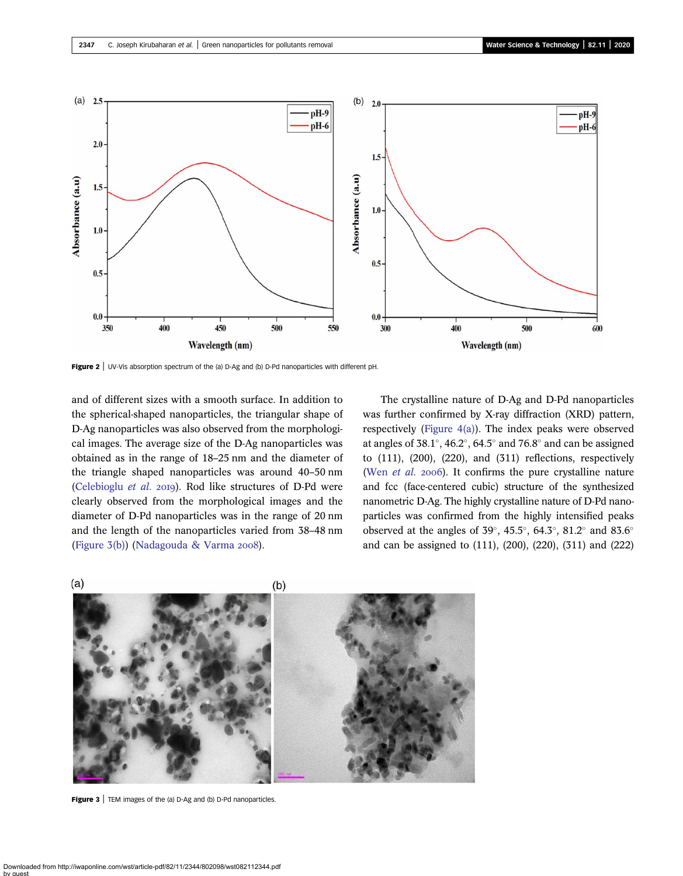<span id="page-3-0"></span>

Figure 2 | UV-Vis absorption spectrum of the (a) D-Ag and (b) D-Pd nanoparticles with different pH.

and of different sizes with a smooth surface. In addition to the spherical-shaped nanoparticles, the triangular shape of D-Ag nanoparticles was also observed from the morphological images. The average size of the D-Ag nanoparticles was obtained as in the range of 18–25 nm and the diameter of the triangle shaped nanoparticles was around 40–50 nm [\(Celebioglu](#page-6-0) et al. 2019). Rod like structures of D-Pd were clearly observed from the morphological images and the diameter of D-Pd nanoparticles was in the range of 20 nm and the length of the nanoparticles varied from 38–48 nm (Figure  $3(b)$ ) ([Nadagouda & Varma](#page-7-0) 2008).

The crystalline nature of D-Ag and D-Pd nanoparticles was further confirmed by X-ray diffraction (XRD) pattern, respectively ([Figure 4\(a\)](#page-4-0)). The index peaks were observed at angles of  $38.1^{\circ}$ ,  $46.2^{\circ}$ ,  $64.5^{\circ}$  and  $76.8^{\circ}$  and can be assigned to  $(111)$ ,  $(200)$ ,  $(220)$ , and  $(311)$  reflections, respectively (Wen *[et al.](#page-8-0)* 2006). It confirms the pure crystalline nature and fcc (face-centered cubic) structure of the synthesized nanometric D-Ag. The highly crystalline nature of D-Pd nanoparticles was confirmed from the highly intensified peaks observed at the angles of 39 $^{\circ}$ , 45.5 $^{\circ}$ , 64.3 $^{\circ}$ , 81.2 $^{\circ}$  and 83.6 $^{\circ}$ and can be assigned to (111), (200), (220), (311) and (222)



Figure 3 | TEM images of the (a) D-Ag and (b) D-Pd nanoparticles.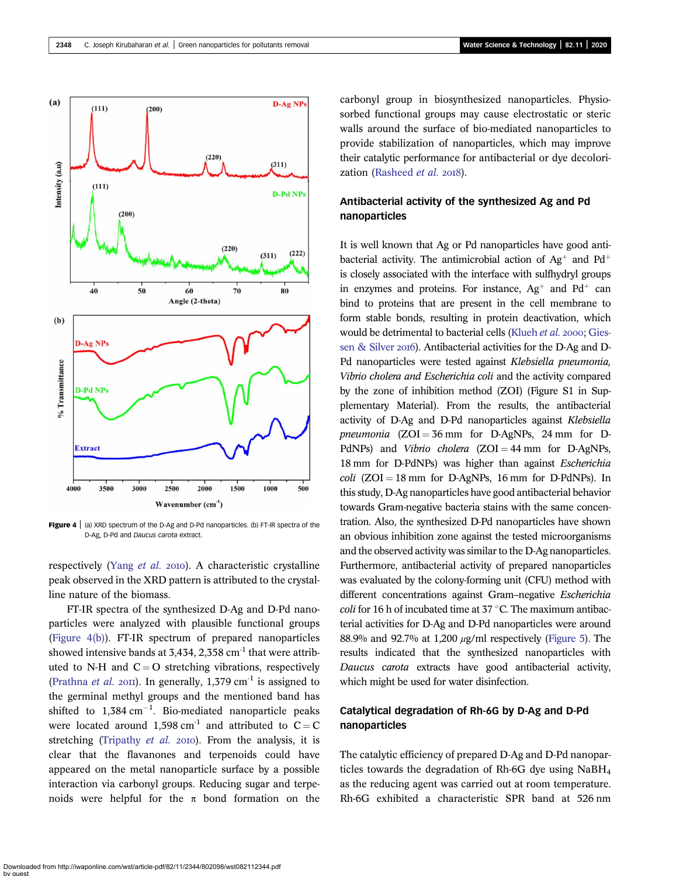<span id="page-4-0"></span>

**Figure 4**  $|$  (a) XRD spectrum of the D-Ag and D-Pd nanoparticles. (b) FT-IR spectra of the D-Ag, D-Pd and Daucus carota extract.

respectively [\(Yang](#page-8-0) et al. 2010). A characteristic crystalline peak observed in the XRD pattern is attributed to the crystalline nature of the biomass.

FT-IR spectra of the synthesized D-Ag and D-Pd nanoparticles were analyzed with plausible functional groups (Figure 4(b)). FT-IR spectrum of prepared nanoparticles showed intensive bands at 3,434, 2,358  $cm<sup>-1</sup>$  that were attributed to N-H and  $C = O$  stretching vibrations, respectively ([Prathna](#page-7-0) *et al.* 2011). In generally, 1,379 cm<sup>-1</sup> is assigned to the germinal methyl groups and the mentioned band has shifted to  $1,384 \text{ cm}^{-1}$ . Bio-mediated nanoparticle peaks were located around 1,598 cm<sup>-1</sup> and attributed to  $C = C$ stretching [\(Tripathy](#page-8-0)  $et$  al. 2010). From the analysis, it is clear that the flavanones and terpenoids could have appeared on the metal nanoparticle surface by a possible interaction via carbonyl groups. Reducing sugar and terpenoids were helpful for the  $\pi$  bond formation on the carbonyl group in biosynthesized nanoparticles. Physiosorbed functional groups may cause electrostatic or steric walls around the surface of bio-mediated nanoparticles to provide stabilization of nanoparticles, which may improve their catalytic performance for antibacterial or dye decolori-zation ([Rasheed](#page-7-0) et al. 2018).

# Antibacterial activity of the synthesized Ag and Pd nanoparticles

It is well known that Ag or Pd nanoparticles have good antibacterial activity. The antimicrobial action of  $Ag^+$  and  $Pd^+$ is closely associated with the interface with sulfhydryl groups in enzymes and proteins. For instance,  $Ag^+$  and Pd<sup>+</sup> can bind to proteins that are present in the cell membrane to form stable bonds, resulting in protein deactivation, which would be detrimental to bacterial cells [\(Klueh](#page-7-0) et al. 2000; [Gies](#page-6-0)[sen & Silver](#page-6-0) 2016). Antibacterial activities for the D-Ag and D-Pd nanoparticles were tested against Klebsiella pneumonia, Vibrio cholera and Escherichia coli and the activity compared by the zone of inhibition method (ZOI) (Figure S1 in Supplementary Material). From the results, the antibacterial activity of D-Ag and D-Pd nanoparticles against Klebsiella pneumonia  $(ZOI = 36$  mm for D-AgNPs, 24 mm for D-PdNPs) and Vibrio cholera  $(ZOI = 44$  mm for D-AgNPs, 18 mm for D-PdNPs) was higher than against Escherichia  $\text{coli}$  (ZOI = 18 mm for D-AgNPs, 16 mm for D-PdNPs). In this study, D-Ag nanoparticles have good antibacterial behavior towards Gram-negative bacteria stains with the same concentration. Also, the synthesized D-Pd nanoparticles have shown an obvious inhibition zone against the tested microorganisms and the observed activity was similar to the D-Ag nanoparticles. Furthermore, antibacterial activity of prepared nanoparticles was evaluated by the colony-forming unit (CFU) method with different concentrations against Gram–negative Escherichia coli for 16 h of incubated time at 37  $\degree$ C. The maximum antibacterial activities for D-Ag and D-Pd nanoparticles were around 88.9% and 92.7% at 1,200  $\mu$ g/ml respectively [\(Figure 5](#page-5-0)). The results indicated that the synthesized nanoparticles with Daucus carota extracts have good antibacterial activity, which might be used for water disinfection.

# Catalytical degradation of Rh-6G by D-Ag and D-Pd nanoparticles

The catalytic efficiency of prepared D-Ag and D-Pd nanoparticles towards the degradation of Rh-6G dye using NaBH4 as the reducing agent was carried out at room temperature. Rh-6G exhibited a characteristic SPR band at 526 nm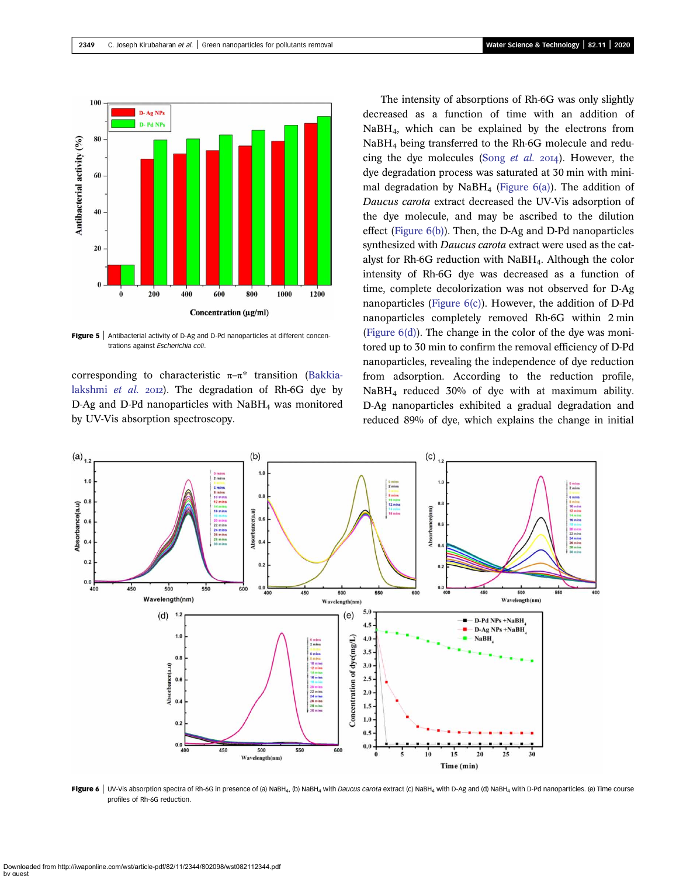<span id="page-5-0"></span>

Figure 5 | Antibacterial activity of D-Ag and D-Pd nanoparticles at different concentrations against Escherichia coli.

corresponding to characteristic  $\pi-\pi^*$  transition [\(Bakkia](#page-6-0)[lakshmi](#page-6-0) et al.  $20I2$ ). The degradation of Rh-6G dye by D-Ag and D-Pd nanoparticles with  $N$ aB $H_4$  was monitored by UV-Vis absorption spectroscopy.

The intensity of absorptions of Rh-6G was only slightly decreased as a function of time with an addition of NaBH4, which can be explained by the electrons from NaBH4 being transferred to the Rh-6G molecule and reducing the dye molecules (Song *[et al.](#page-8-0)* 2014). However, the dye degradation process was saturated at 30 min with minimal degradation by NaBH<sub>4</sub> (Figure  $6(a)$ ). The addition of Daucus carota extract decreased the UV-Vis adsorption of the dye molecule, and may be ascribed to the dilution effect (Figure 6(b)). Then, the D-Ag and D-Pd nanoparticles synthesized with Daucus carota extract were used as the catalyst for Rh-6G reduction with NaBH4. Although the color intensity of Rh-6G dye was decreased as a function of time, complete decolorization was not observed for D-Ag nanoparticles (Figure  $6(c)$ ). However, the addition of D-Pd nanoparticles completely removed Rh-6G within 2 min (Figure  $6(d)$ ). The change in the color of the dye was monitored up to 30 min to confirm the removal efficiency of D-Pd nanoparticles, revealing the independence of dye reduction from adsorption. According to the reduction profile, NaBH4 reduced 30% of dye with at maximum ability. D-Ag nanoparticles exhibited a gradual degradation and reduced 89% of dye, which explains the change in initial



Figure 6 | UV-Vis absorption spectra of Rh-6G in presence of (a) NaBH<sub>4</sub>, (b) NaBH<sub>4</sub> with Daucus carota extract (c) NaBH<sub>4</sub> with D-Ag and (d) NaBH<sub>4</sub> with D-Pd nanoparticles. (e) Time course profiles of Rh-6G reduction.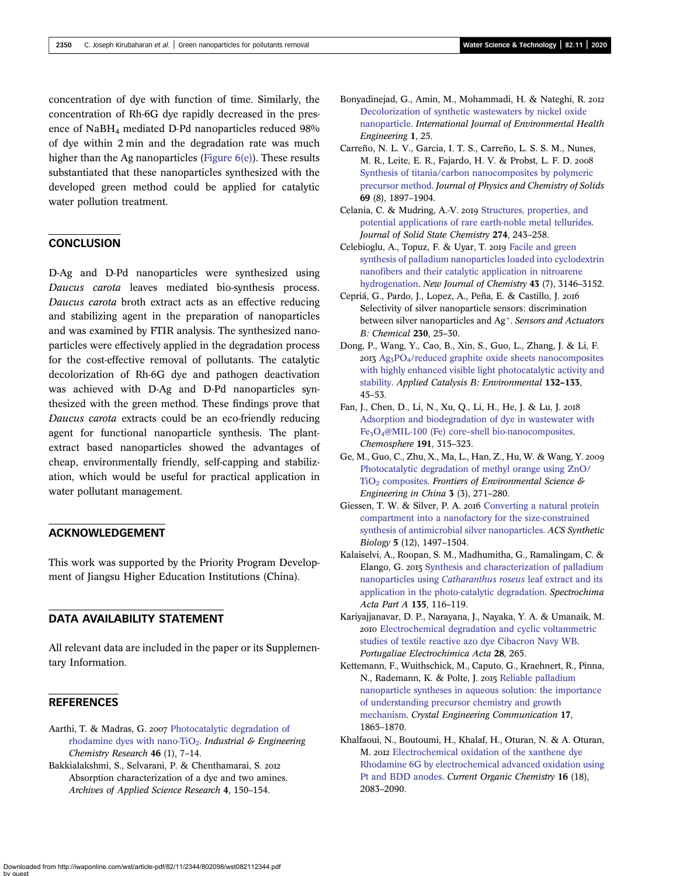<span id="page-6-0"></span>concentration of dye with function of time. Similarly, the concentration of Rh-6G dye rapidly decreased in the presence of NaBH4 mediated D-Pd nanoparticles reduced 98% of dye within 2 min and the degradation rate was much higher than the Ag nanoparticles ([Figure 6\(e\)](#page-5-0)). These results substantiated that these nanoparticles synthesized with the developed green method could be applied for catalytic water pollution treatment.

## **CONCLUSION**

D-Ag and D-Pd nanoparticles were synthesized using Daucus carota leaves mediated bio-synthesis process. Daucus carota broth extract acts as an effective reducing and stabilizing agent in the preparation of nanoparticles and was examined by FTIR analysis. The synthesized nanoparticles were effectively applied in the degradation process for the cost-effective removal of pollutants. The catalytic decolorization of Rh-6G dye and pathogen deactivation was achieved with D-Ag and D-Pd nanoparticles synthesized with the green method. These findings prove that Daucus carota extracts could be an eco-friendly reducing agent for functional nanoparticle synthesis. The plantextract based nanoparticles showed the advantages of cheap, environmentally friendly, self-capping and stabilization, which would be useful for practical application in water pollutant management.

# ACKNOWLEDGEMENT

This work was supported by the Priority Program Development of Jiangsu Higher Education Institutions (China).

# DATA AVAILABILITY STATEMENT

All relevant data are included in the paper or its Supplementary Information.

### **REFERENCES**

- Aarthi, T. & Madras, G. 2007 [Photocatalytic degradation of](http://dx.doi.org/10.1021/ie060948n) rhodamine dyes with nano-TiO<sub>2</sub>. Industrial & Engineering Chemistry Research 46 (1), 7–14.
- Bakkialakshmi, S., Selvarani, P. & Chenthamarai, S. Absorption characterization of a dye and two amines. Archives of Applied Science Research 4, 150–154.
- Bonyadinejad, G., Amin, M., Mohammadi, H. & Nateghi, R. [Decolorization of synthetic wastewaters by nickel oxide](http://dx.doi.org/10.4103/2277-9183.98384) [nanoparticle.](http://dx.doi.org/10.4103/2277-9183.98384) International Journal of Environmental Health Engineering 1, 25.
- Carreño, N. L. V., Garcia, I. T. S., Carreño, L. S. S. M., Nunes, M. R., Leite, E. R., Fajardo, H. V. & Probst, L. F. D. [Synthesis of titania/carbon nanocomposites by polymeric](http://dx.doi.org/10.1016/j.jpcs.2008.01.014) [precursor method](http://dx.doi.org/10.1016/j.jpcs.2008.01.014). Journal of Physics and Chemistry of Solids 69 (8), 1897–1904.
- Celania, C. & Mudring, A.-V. 2019 [Structures, properties, and](http://dx.doi.org/10.1016/j.jssc.2019.03.009) [potential applications of rare earth-noble metal tellurides](http://dx.doi.org/10.1016/j.jssc.2019.03.009). Journal of Solid State Chemistry 274, 243–258.
- Celebioglu, A., Topuz, F. & Uyar, T. 2019 [Facile and green](http://dx.doi.org/10.1039/C8NJ05133J) [synthesis of palladium nanoparticles loaded into cyclodextrin](http://dx.doi.org/10.1039/C8NJ05133J) [nanofibers and their catalytic application in nitroarene](http://dx.doi.org/10.1039/C8NJ05133J) [hydrogenation](http://dx.doi.org/10.1039/C8NJ05133J). New Journal of Chemistry 43 (7), 3146–3152.
- Cepriá, G., Pardo, J., Lopez, A., Peña, E. & Castillo, J. Selectivity of silver nanoparticle sensors: discrimination between silver nanoparticles and  $Ag^+$ . Sensors and Actuators B: Chemical 230, 25–30.
- Dong, P., Wang, Y., Cao, B., Xin, S., Guo, L., Zhang, J. & Li, F.  $20I_3$  Ag<sub>3</sub>PO<sub>4</sub>/reduced graphite oxide sheets nanocomposites [with highly enhanced visible light photocatalytic activity and](http://dx.doi.org/10.1016/j.apcatb.2012.11.022) [stability](http://dx.doi.org/10.1016/j.apcatb.2012.11.022). Applied Catalysis B: Environmental 132–133, 45–53.
- Fan, J., Chen, D., Li, N., Xu, Q., Li, H., He, J. & Lu, J. [Adsorption and biodegradation of dye in wastewater with](http://dx.doi.org/10.1016/j.chemosphere.2017.10.042) Fe<sub>3</sub>O<sub>4</sub>@MIL-100 (Fe) core–[shell bio-nanocomposites](http://dx.doi.org/10.1016/j.chemosphere.2017.10.042). Chemosphere 191, 315–323.
- Ge, M., Guo, C., Zhu, X., Ma, L., Han, Z., Hu, W. & Wang, Y. [Photocatalytic degradation of methyl orange using ZnO/](http://dx.doi.org/10.1007/s11783-009-0035-2)  $TiO<sub>2</sub>$  [composites.](http://dx.doi.org/10.1007/s11783-009-0035-2) Frontiers of Environmental Science & Engineering in China 3 (3), 271–280.
- Giessen, T. W. & Silver, P. A. 2016 [Converting a natural protein](http://dx.doi.org/10.1021/acssynbio.6b00117) [compartment into a nanofactory for the size-constrained](http://dx.doi.org/10.1021/acssynbio.6b00117) [synthesis of antimicrobial silver nanoparticles.](http://dx.doi.org/10.1021/acssynbio.6b00117) ACS Synthetic Biology 5 (12), 1497–1504.
- Kalaiselvi, A., Roopan, S. M., Madhumitha, G., Ramalingam, C. & Elango, G. 2015 [Synthesis and characterization of palladium](http://dx.doi.org/10.1016/j.saa.2014.07.010) nanoparticles using [Catharanthus roseus](http://dx.doi.org/10.1016/j.saa.2014.07.010) leaf extract and its [application in the photo-catalytic degradation](http://dx.doi.org/10.1016/j.saa.2014.07.010). Spectrochima Acta Part A 135, 116–119.
- Kariyajjanavar, D. P., Narayana, J., Nayaka, Y. A. & Umanaik, M. [Electrochemical degradation and cyclic voltammetric](http://dx.doi.org/10.4152/pea.201004265) [studies of textile reactive azo dye Cibacron Navy WB](http://dx.doi.org/10.4152/pea.201004265). Portugaliae Electrochimica Acta 28, 265.
- Kettemann, F., Wuithschick, M., Caputo, G., Kraehnert, R., Pinna, N., Rademann, K. & Polte, J. 2015 [Reliable palladium](http://dx.doi.org/10.1039/C4CE01025F) [nanoparticle syntheses in aqueous solution: the importance](http://dx.doi.org/10.1039/C4CE01025F) [of understanding precursor chemistry and growth](http://dx.doi.org/10.1039/C4CE01025F) [mechanism.](http://dx.doi.org/10.1039/C4CE01025F) Crystal Engineering Communication 17, 1865–1870.
- Khalfaoui, N., Boutoumi, H., Khalaf, H., Oturan, N. & A. Oturan, M. 2012 [Electrochemical oxidation of the xanthene dye](http://dx.doi.org/10.2174/138527212803532459) [Rhodamine 6G by electrochemical advanced oxidation using](http://dx.doi.org/10.2174/138527212803532459) [Pt and BDD anodes](http://dx.doi.org/10.2174/138527212803532459). Current Organic Chemistry 16 (18), 2083–2090.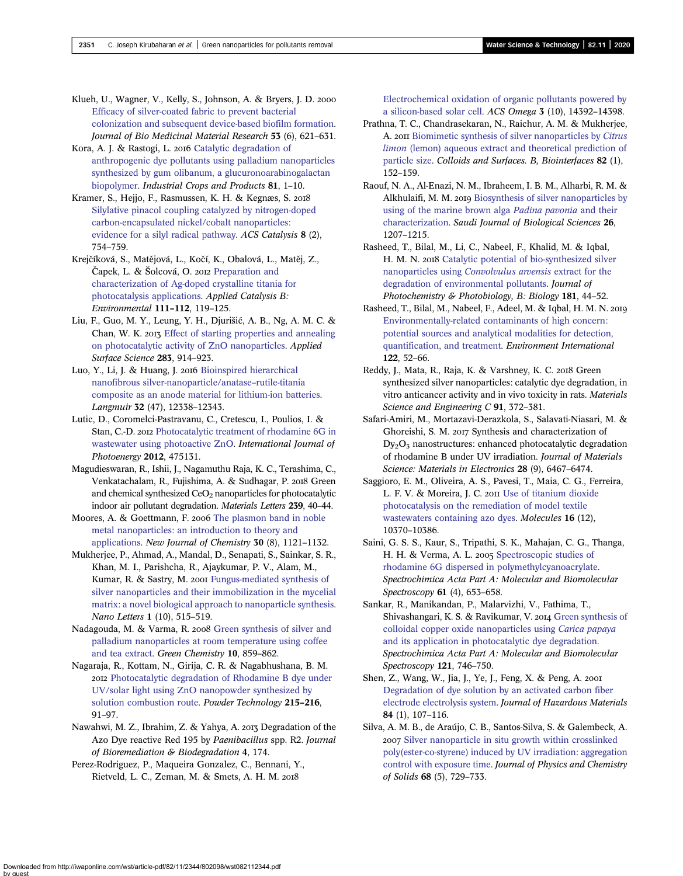<span id="page-7-0"></span>Klueh, U., Wagner, V., Kelly, S., Johnson, A. & Bryers, J. D. 2000 [Efficacy of silver-coated fabric to prevent bacterial](http://dx.doi.org/10.1002/1097-4636(2000)53:6%3C621::AID-JBM2%3E3.0.CO;2-Q) [colonization and subsequent device-based biofilm formation](http://dx.doi.org/10.1002/1097-4636(2000)53:6%3C621::AID-JBM2%3E3.0.CO;2-Q). Journal of Bio Medicinal Material Research 53 (6), 621–631.

Kora, A. J. & Rastogi, L. 2016 [Catalytic degradation of](http://dx.doi.org/10.1016/j.indcrop.2015.11.055) [anthropogenic dye pollutants using palladium nanoparticles](http://dx.doi.org/10.1016/j.indcrop.2015.11.055) [synthesized by gum olibanum, a glucuronoarabinogalactan](http://dx.doi.org/10.1016/j.indcrop.2015.11.055) [biopolymer.](http://dx.doi.org/10.1016/j.indcrop.2015.11.055) Industrial Crops and Products 81, 1–10.

Kramer, S., Hejjo, F., Rasmussen, K. H. & Kegnæs, S. [Silylative pinacol coupling catalyzed by nitrogen-doped](http://dx.doi.org/10.1021/acscatal.7b02788) [carbon-encapsulated nickel/cobalt nanoparticles:](http://dx.doi.org/10.1021/acscatal.7b02788) [evidence for a silyl radical pathway](http://dx.doi.org/10.1021/acscatal.7b02788). ACS Catalysis 8 (2), 754–759.

Krejčíková, S., Matějová, L., Kočí, K., Obalová, L., Matěj, Z., Čapek, L. & Šolcová, O. 2012 [Preparation and](http://dx.doi.org/10.1016/j.apcatb.2011.09.024) [characterization of Ag-doped crystalline titania for](http://dx.doi.org/10.1016/j.apcatb.2011.09.024) [photocatalysis applications](http://dx.doi.org/10.1016/j.apcatb.2011.09.024). Applied Catalysis B: Environmental 111–112, 119–125.

Liu, F., Guo, M. Y., Leung, Y. H., Djurišić, A. B., Ng, A. M. C. & Chan, W. K. 2013 [Effect of starting properties and annealing](http://dx.doi.org/10.1016/j.apsusc.2013.07.043) [on photocatalytic activity of ZnO nanoparticles](http://dx.doi.org/10.1016/j.apsusc.2013.07.043). Applied Surface Science 283, 914–923.

Luo, Y., Li, J. & Huang, J. 2016 [Bioinspired hierarchical](http://dx.doi.org/10.1021/acs.langmuir.6b01556) [nanofibrous silver-nanoparticle/anatase](http://dx.doi.org/10.1021/acs.langmuir.6b01556)–rutile-titania [composite as an anode material for lithium-ion batteries.](http://dx.doi.org/10.1021/acs.langmuir.6b01556) Langmuir 32 (47), 12338–12343.

Lutic, D., Coromelci-Pastravanu, C., Cretescu, I., Poulios, I. & Stan, C.-D. 2012 [Photocatalytic treatment of rhodamine 6G in](http://dx.doi.org/10.1155/2012/475131) [wastewater using photoactive ZnO](http://dx.doi.org/10.1155/2012/475131). International Journal of Photoenergy 2012, 475131.

Magudieswaran, R., Ishii, J., Nagamuthu Raja, K. C., Terashima, C., Venkatachalam, R., Fujishima, A. & Sudhagar, P. 2018 Green and chemical synthesized  $CeO<sub>2</sub>$  nanoparticles for photocatalytic indoor air pollutant degradation. Materials Letters 239, 40–44.

Moores, A. & Goettmann, F. 2006 [The plasmon band in noble](http://dx.doi.org/10.1039/b604038c) [metal nanoparticles: an introduction to theory and](http://dx.doi.org/10.1039/b604038c) [applications.](http://dx.doi.org/10.1039/b604038c) New Journal of Chemistry 30 (8), 1121–1132.

Mukherjee, P., Ahmad, A., Mandal, D., Senapati, S., Sainkar, S. R., Khan, M. I., Parishcha, R., Ajaykumar, P. V., Alam, M., Kumar, R. & Sastry, M. 2001 [Fungus-mediated synthesis of](http://dx.doi.org/10.1021/nl0155274) [silver nanoparticles and their immobilization in the mycelial](http://dx.doi.org/10.1021/nl0155274) [matrix: a novel biological approach to nanoparticle synthesis](http://dx.doi.org/10.1021/nl0155274). Nano Letters 1 (10), 515–519.

Nadagouda, M. & Varma, R. 2008 [Green synthesis of silver and](http://dx.doi.org/10.1039/b804703k) [palladium nanoparticles at room temperature using coffee](http://dx.doi.org/10.1039/b804703k) [and tea extract.](http://dx.doi.org/10.1039/b804703k) Green Chemistry 10, 859–862.

Nagaraja, R., Kottam, N., Girija, C. R. & Nagabhushana, B. M. 2012 [Photocatalytic degradation of Rhodamine B dye under](http://dx.doi.org/10.1016/j.powtec.2011.09.014) [UV/solar light using ZnO nanopowder synthesized by](http://dx.doi.org/10.1016/j.powtec.2011.09.014) [solution combustion route](http://dx.doi.org/10.1016/j.powtec.2011.09.014). Powder Technology 215-216, 91–97.

Nawahwi, M. Z., Ibrahim, Z. & Yahya, A. 2013 Degradation of the Azo Dye reactive Red 195 by Paenibacillus spp. R2. Journal of Bioremediation & Biodegradation 4, 174.

Perez-Rodriguez, P., Maqueira Gonzalez, C., Bennani, Y., Rietveld, L. C., Zeman, M. & Smets, A. H. M.

[Electrochemical oxidation of organic pollutants powered by](http://dx.doi.org/10.1021/acsomega.8b02502) [a silicon-based solar cell](http://dx.doi.org/10.1021/acsomega.8b02502). ACS Omega 3 (10), 14392–14398.

Prathna, T. C., Chandrasekaran, N., Raichur, A. M. & Mukherjee, A. 2011 [Biomimetic synthesis of silver nanoparticles by](http://dx.doi.org/10.1016/j.colsurfb.2010.08.036) Citrus limon [\(lemon\) aqueous extract and theoretical prediction of](http://dx.doi.org/10.1016/j.colsurfb.2010.08.036) [particle size](http://dx.doi.org/10.1016/j.colsurfb.2010.08.036). Colloids and Surfaces. B, Biointerfaces 82 (1), 152–159.

Raouf, N. A., Al-Enazi, N. M., Ibraheem, I. B. M., Alharbi, R. M. & Alkhulaifi, M. M. 2019 [Biosynthesis of silver nanoparticles by](http://dx.doi.org/10.1016/j.sjbs.2018.01.007) [using of the marine brown alga](http://dx.doi.org/10.1016/j.sjbs.2018.01.007) Padina pavonia and their [characterization](http://dx.doi.org/10.1016/j.sjbs.2018.01.007). Saudi Journal of Biological Sciences 26, 1207–1215.

Rasheed, T., Bilal, M., Li, C., Nabeel, F., Khalid, M. & Iqbal, H. M. N. 2018 [Catalytic potential of bio-synthesized silver](http://dx.doi.org/10.1016/j.jphotobiol.2018.02.024) nanoparticles using [Convolvulus arvensis](http://dx.doi.org/10.1016/j.jphotobiol.2018.02.024) extract for the [degradation of environmental pollutants.](http://dx.doi.org/10.1016/j.jphotobiol.2018.02.024) Journal of Photochemistry & Photobiology, B: Biology 181, 44–52.

Rasheed, T., Bilal, M., Nabeel, F., Adeel, M. & Iqbal, H. M. N. [Environmentally-related contaminants of high concern:](http://dx.doi.org/10.1016/j.envint.2018.11.038) [potential sources and analytical modalities for detection,](http://dx.doi.org/10.1016/j.envint.2018.11.038) [quantification, and treatment](http://dx.doi.org/10.1016/j.envint.2018.11.038). Environment International 122, 52–66.

Reddy, J., Mata, R., Raja, K. & Varshney, K. C. 2018 Green synthesized silver nanoparticles: catalytic dye degradation, in vitro anticancer activity and in vivo toxicity in rats. Materials Science and Engineering C 91, 372-381.

Safari-Amiri, M., Mortazavi-Derazkola, S., Salavati-Niasari, M. & Ghoreishi, S. M. 2017 Synthesis and characterization of  $Dv<sub>2</sub>O<sub>3</sub>$  nanostructures: enhanced photocatalytic degradation of rhodamine B under UV irradiation. Journal of Materials Science: Materials in Electronics 28 (9), 6467–6474.

Saggioro, E. M., Oliveira, A. S., Pavesi, T., Maia, C. G., Ferreira, L. F. V. & Moreira, J. C. 2011 [Use of titanium dioxide](http://dx.doi.org/10.3390/molecules161210370) [photocatalysis on the remediation of model textile](http://dx.doi.org/10.3390/molecules161210370) [wastewaters containing azo dyes](http://dx.doi.org/10.3390/molecules161210370). Molecules 16 (12), 10370–10386.

Saini, G. S. S., Kaur, S., Tripathi, S. K., Mahajan, C. G., Thanga, H. H. & Verma, A. L. 2005 [Spectroscopic studies of](http://dx.doi.org/10.1016/j.saa.2004.05.022) [rhodamine 6G dispersed in polymethylcyanoacrylate](http://dx.doi.org/10.1016/j.saa.2004.05.022). Spectrochimica Acta Part A: Molecular and Biomolecular Spectroscopy **61** (4), 653-658.

Sankar, R., Manikandan, P., Malarvizhi, V., Fathima, T., Shivashangari, K. S. & Ravikumar, V. 2014 [Green synthesis of](http://dx.doi.org/10.1016/j.saa.2013.12.020) [colloidal copper oxide nanoparticles using](http://dx.doi.org/10.1016/j.saa.2013.12.020) Carica papaya [and its application in photocatalytic dye degradation](http://dx.doi.org/10.1016/j.saa.2013.12.020). Spectrochimica Acta Part A: Molecular and Biomolecular Spectroscopy 121, 746–750.

Shen, Z., Wang, W., Jia, J., Ye, J., Feng, X. & Peng, A. [Degradation of dye solution by an activated carbon fiber](http://dx.doi.org/10.1016/S0304-3894(01)00201-1) [electrode electrolysis system.](http://dx.doi.org/10.1016/S0304-3894(01)00201-1) Journal of Hazardous Materials 84 (1), 107–116.

Silva, A. M. B., de Araújo, C. B., Santos-Silva, S. & Galembeck, A. 2007 [Silver nanoparticle in situ growth within crosslinked](http://dx.doi.org/10.1016/j.jpcs.2007.03.052) [poly\(ester-co-styrene\) induced by UV irradiation: aggregation](http://dx.doi.org/10.1016/j.jpcs.2007.03.052) [control with exposure time](http://dx.doi.org/10.1016/j.jpcs.2007.03.052). Journal of Physics and Chemistry of Solids 68 (5), 729–733.